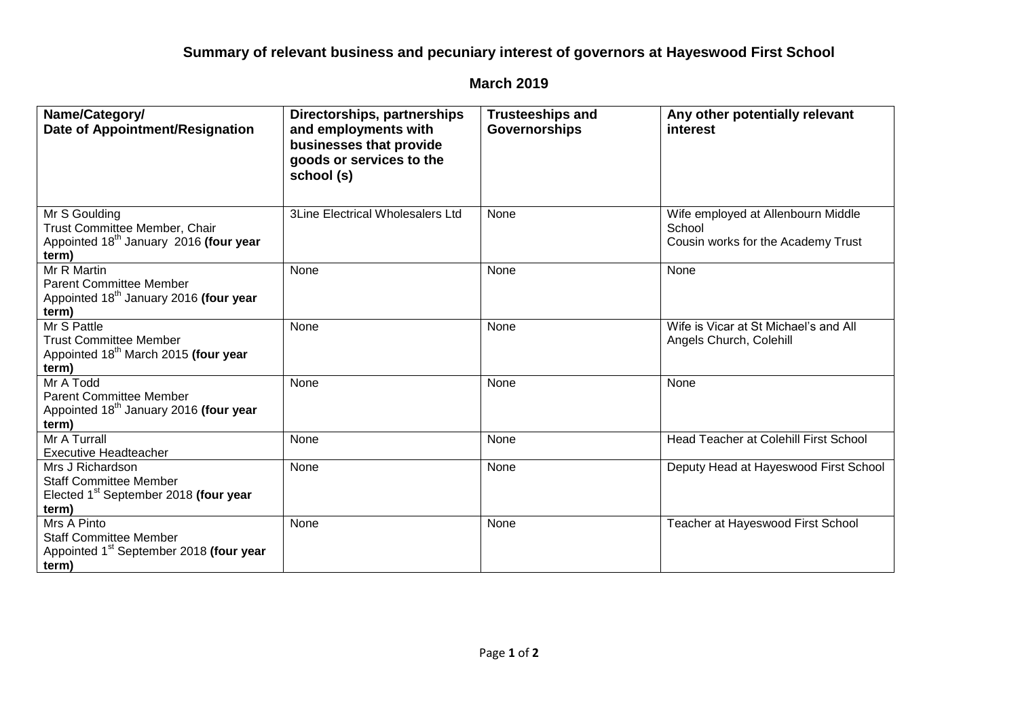## **Summary of relevant business and pecuniary interest of governors at Hayeswood First School**

## **March 2019**

| Name/Category/<br>Date of Appointment/Resignation                                                               | Directorships, partnerships<br>and employments with<br>businesses that provide<br>goods or services to the<br>school (s) | <b>Trusteeships and</b><br><b>Governorships</b> | Any other potentially relevant<br>interest                                         |
|-----------------------------------------------------------------------------------------------------------------|--------------------------------------------------------------------------------------------------------------------------|-------------------------------------------------|------------------------------------------------------------------------------------|
| Mr S Goulding<br>Trust Committee Member, Chair<br>Appointed 18 <sup>th</sup> January 2016 (four year<br>term)   | <b>3Line Electrical Wholesalers Ltd</b>                                                                                  | None                                            | Wife employed at Allenbourn Middle<br>School<br>Cousin works for the Academy Trust |
| Mr R Martin<br><b>Parent Committee Member</b><br>Appointed 18 <sup>th</sup> January 2016 (four year<br>term)    | None                                                                                                                     | None                                            | None                                                                               |
| Mr S Pattle<br><b>Trust Committee Member</b><br>Appointed 18 <sup>th</sup> March 2015 (four year<br>term)       | None                                                                                                                     | None                                            | Wife is Vicar at St Michael's and All<br>Angels Church, Colehill                   |
| Mr A Todd<br><b>Parent Committee Member</b><br>Appointed 18 <sup>th</sup> January 2016 (four year<br>term)      | None                                                                                                                     | None                                            | None                                                                               |
| Mr A Turrall<br><b>Executive Headteacher</b>                                                                    | None                                                                                                                     | None                                            | Head Teacher at Colehill First School                                              |
| Mrs J Richardson<br><b>Staff Committee Member</b><br>Elected 1 <sup>st</sup> September 2018 (four year<br>term) | None                                                                                                                     | None                                            | Deputy Head at Hayeswood First School                                              |
| Mrs A Pinto<br><b>Staff Committee Member</b><br>Appointed 1 <sup>st</sup> September 2018 (four year<br>term)    | None                                                                                                                     | None                                            | Teacher at Hayeswood First School                                                  |